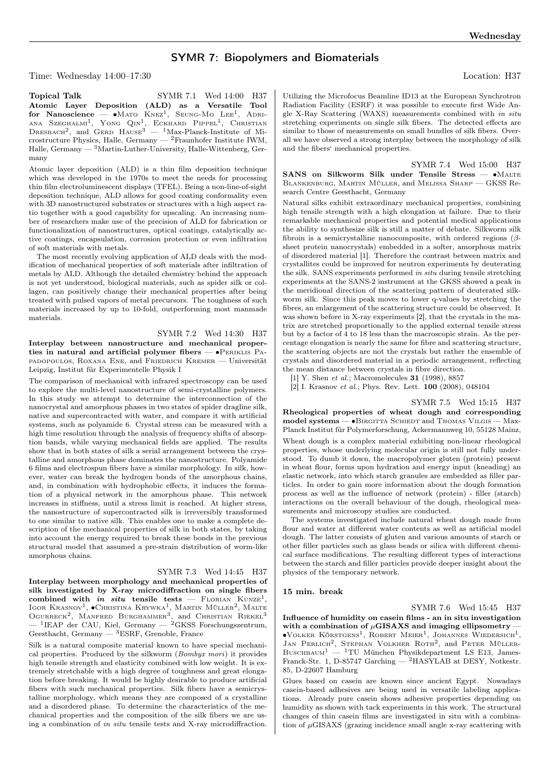# SYMR 7: Biopolymers and Biomaterials

Time: Wednesday 14:00–17:30 Location: H37

ana Szeghalm<sup>1</sup>, Yong Qin<sup>1</sup>, Eckhard Pippel<sup>1</sup>, Christian<br>Dresbach<sup>2</sup>, and Gerd Hause<sup>3</sup> — <sup>1</sup>Max-Planck-Institute of Microstructure Physics, Halle, Germany —  $^2$ Fraunhofer Institute IWM, Halle, Germany — <sup>3</sup>Martin-Luther-University, Halle-Wittenberg, Germany

Atomic layer deposition (ALD) is a thin film deposition technique which was developed in the 1970s to meet the needs for processing thin film electroluminescent displays (TFEL). Being a non-line-of-sight deposition technique, ALD allows for good coating conformality even with 3D nanostructured substrates or structures with a high aspect ratio together with a good capability for upscaling. An increasing number of researchers make use of the precision of ALD for fabrication or functionalization of nanostructures, optical coatings, catalytically active coatings, encapsulation, corrosion protection or even infiltration of soft materials with metals.

The most recently evolving application of ALD deals with the modification of mechanical properties of soft materials after infiltration of metals by ALD. Although the detailed chemistry behind the approach is not yet understood, biological materials, such as spider silk or collagen, can positively change their mechanical properties after being treated with pulsed vapors of metal precursors. The toughness of such materials increased by up to 10-fold, outperforming most manmade materials.

SYMR 7.2 Wed 14:30 H37

Interplay between nanostructure and mechanical properties in natural and artificial polymer fibers — ∙Periklis Papadopoulos, Roxana Ene, and Friedrich Kremer — Universität Leipzig, Institut für Experimentelle Physik I

The comparison of mechanical with infrared spectroscopy can be used to explore the multi-level nanostructure of semi-crystalline polymers. In this study we attempt to determine the interconnection of the nanocrystal and amorphous phases in two states of spider dragline silk, native and supercontracted with water, and compare it with artificial systems, such as polyamide 6. Crystal stress can be measured with a high time resolution through the analysis of frequency shifts of absorption bands, while varying mechanical fields are applied. The results show that in both states of silk a serial arrangement between the crystalline and amorphous phase dominates the nanostructure. Polyamide 6 films and electrospun fibers have a similar morphology. In silk, however, water can break the hydrogen bonds of the amorphous chains, and, in combination with hydrophobic effects, it induces the formation of a physical network in the amorphous phase. This network increases in stiffness, until a stress limit is reached. At higher stress, the nanostructure of supercontracted silk is irreversibly transformed to one similar to native silk. This enables one to make a complete description of the mechanical properties of silk in both states, by taking into account the energy required to break these bonds in the previous structural model that assumed a pre-strain distribution of worm-like amorphous chains.

## SYMR 7.3 Wed 14:45 H37

Interplay between morphology and mechanical properties of silk investigated by X-ray microdiffraction on single fibers combined with in situ tensile tests – FLORIAN KUNZE<sup>1</sup>, Igor Krasnov<sup>1</sup>,  $\bullet$ Christina Krywka<sup>1</sup>, Martin Müller<sup>2</sup>, Malte OGURRECK<sup>2</sup>, MANFRED BURGHAMMER<sup>3</sup>, and CHRISTIAN RIEKEL<sup>3</sup>  $-$ <sup>1</sup>IEAP der CAU, Kiel, Germany  $-$  <sup>2</sup>GKSS Forschungszentrum, Geesthacht, Germany — <sup>3</sup>ESRF, Grenoble, France

Silk is a natural composite material known to have special mechanical properties. Produced by the silkworm (Bombyx mori) it provides high tensile strength and elasticity combined with low weight. It is extremely stretchable with a high degree of toughness and great elongation before breaking. It would be highly desirable to produce artificial fibers with such mechanical properties. Silk fibers have a semicrystalline morphology, which means they are composed of a crystalline and a disordered phase. To determine the characteristics of the mechanical properties and the composition of the silk fibers we are using a combination of in situ tensile tests and X-ray microdiffraction.

Utilizing the Microfocus Beamline ID13 at the European Synchrotron Radiation Facility (ESRF) it was possible to execute first Wide Angle X-Ray Scattering (WAXS) measurements combined with in situ stretching experiments on single silk fibers. The detected effects are similar to those of measurements on small bundles of silk fibers. Overall we have observed a strong interplay between the morphology of silk and the fibers' mechanical properties.

SYMR 7.4 Wed 15:00 H37 SANS on Silkworm Silk under Tensile Stress — •MALTE Blankenburg, Martin Müller, and Melissa Sharp — GKSS Research Centre Geesthacht, Germany

Natural silks exhibit extraordinary mechanical properties, combining high tensile strength with a high elongation at failure. Due to their remarkable mechanical properties and potential medical applications the ability to synthesize silk is still a matter of debate. Silkworm silk fibroin is a semicrystalline nanocomposite, with ordered regions  $(\beta$ sheet protein nanocrystals) embedded in a softer, amorphous matrix of disordered material [1]. Therefore the contrast between matrix and crystallites could be improved for neutron experiments by deuterating the silk. SANS experiments performed in situ during tensile stretching experiments at the SANS-2 instrument at the GKSS showed a peak in the meridional direction of the scattering pattern of deuterated silkworm silk. Since this peak moves to lower q-values by stretching the fibres, an enlargement of the scattering structure could be observed. It was shown before in X-ray experiments [2], that the crystals in the matrix are stretched proportionally to the applied external tensile stress but by a factor of 4 to 18 less than the macroscopic strain. As the percentage elongation is nearly the same for fibre and scattering structure, the scattering objects are not the crystals but rather the ensemble of crystals and disordered material in a periodic arrangement, reflecting the mean distance between crystals in fibre direction.

[1] Y. Shen et al.; Macromolecules **31** (1998), 8857

[2] I. Krasnov et al.; Phys. Rev. Lett. 100 (2008), 048104

### SYMR 7.5 Wed 15:15 H37

Rheological properties of wheat dough and corresponding model systems — • BIRGITTA SCHIEDT and THOMAS VILGIS — Max-Planck Institut für Polymerforschung, Ackermannweg 10, 55128 Mainz, Wheat dough is a complex material exhibiting non-linear rheological properties, whose underlying molecular origin is still not fully understood. To dumb it down, the macropolymer gluten (protein) present in wheat flour, forms upon hydration and energy input (kneading) an elastic network, into which starch granules are embedded as filler particles. In order to gain more information about the dough formation process as well as the influence of network (protein) - filler (starch) interactions on the overall behaviour of the dough, rheological measurements and microscopy studies are conducted.

The systems investigated include natural wheat dough made from flour and water at different water contents as well as artificial model dough. The latter consists of gluten and various amounts of starch or other filler particles such as glass beads or silica with different chemical surface modifications. The resulting different types of interactions between the starch and filler particles provide deeper insight about the physics of the temporary network.

#### 15 min. break

SYMR 7.6 Wed 15:45 H37 Influence of humidity on casein films - an in situ investigation with a combination of  $\mu$ GISAXS and imaging ellipsometry -∙Volker Körstgens<sup>1</sup> , Robert Meier<sup>1</sup> , Johannes Wiedersich<sup>1</sup> , JAN PERLICH<sup>2</sup>, STEPHAN VOLKHER ROTH<sup>2</sup>, and PETER MÜLLER-Buschbaum<sup>1</sup> — <sup>1</sup>TU München Physikdepartment LS E13, James-Franck-Str. 1, D-85747 Garching — <sup>2</sup>HASYLAB at DESY, Notkestr. 85, D-22607 Hamburg

Glues based on casein are known since ancient Egypt. Nowadays casein-based adhesives are being used in versatile labeling applications. Already pure casein shows adhesive properties depending on humidity as shown with tack experiments in this work. The structural changes of thin casein films are investigated in situ with a combination of  $\mu$ GISAXS (grazing incidence small angle x-ray scattering with